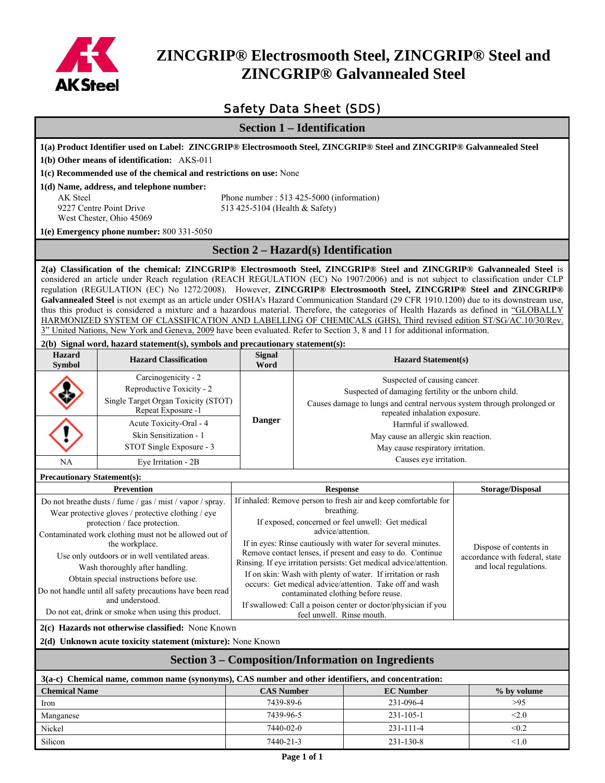

# **ZINCGRIP® Electrosmooth Steel, ZINCGRIP® Steel and ZINCGRIP® Galvannealed Steel**

# Safety Data Sheet (SDS)

**Section 1 – Identification** 

| Section 1 – Identification                  |                                                                                                                                                                                                                                                                                                                                                                                                                                                                                                                            |                                                                 |                                                                                                                                                                    |                                   |                         |  |
|---------------------------------------------|----------------------------------------------------------------------------------------------------------------------------------------------------------------------------------------------------------------------------------------------------------------------------------------------------------------------------------------------------------------------------------------------------------------------------------------------------------------------------------------------------------------------------|-----------------------------------------------------------------|--------------------------------------------------------------------------------------------------------------------------------------------------------------------|-----------------------------------|-------------------------|--|
|                                             | 1(a) Product Identifier used on Label: ZINCGRIP® Electrosmooth Steel, ZINCGRIP® Steel and ZINCGRIP® Galvannealed Steel                                                                                                                                                                                                                                                                                                                                                                                                     |                                                                 |                                                                                                                                                                    |                                   |                         |  |
| 1(b) Other means of identification: AKS-011 |                                                                                                                                                                                                                                                                                                                                                                                                                                                                                                                            |                                                                 |                                                                                                                                                                    |                                   |                         |  |
|                                             | 1(c) Recommended use of the chemical and restrictions on use: None                                                                                                                                                                                                                                                                                                                                                                                                                                                         |                                                                 |                                                                                                                                                                    |                                   |                         |  |
|                                             | 1(d) Name, address, and telephone number:                                                                                                                                                                                                                                                                                                                                                                                                                                                                                  |                                                                 |                                                                                                                                                                    |                                   |                         |  |
| <b>AK</b> Steel                             |                                                                                                                                                                                                                                                                                                                                                                                                                                                                                                                            |                                                                 | Phone number: 513 425-5000 (information)                                                                                                                           |                                   |                         |  |
|                                             | 9227 Centre Point Drive                                                                                                                                                                                                                                                                                                                                                                                                                                                                                                    | 513 425-5104 (Health & Safety)                                  |                                                                                                                                                                    |                                   |                         |  |
|                                             | West Chester, Ohio 45069                                                                                                                                                                                                                                                                                                                                                                                                                                                                                                   |                                                                 |                                                                                                                                                                    |                                   |                         |  |
|                                             | 1(e) Emergency phone number: 800 331-5050                                                                                                                                                                                                                                                                                                                                                                                                                                                                                  |                                                                 |                                                                                                                                                                    |                                   |                         |  |
|                                             |                                                                                                                                                                                                                                                                                                                                                                                                                                                                                                                            |                                                                 | <b>Section 2 - Hazard(s) Identification</b>                                                                                                                        |                                   |                         |  |
|                                             | 2(a) Classification of the chemical: ZINCGRIP® Electrosmooth Steel, ZINCGRIP® Steel and ZINCGRIP® Galvannealed Steel is<br>considered an article under Reach regulation (REACH REGULATION (EC) No 1907/2006) and is not subject to classification under CLP<br>regulation (REGULATION (EC) No 1272/2008). However, ZINCGRIP® Electrosmooth Steel, ZINCGRIP® Steel and ZINCGRIP®<br>Galvannealed Steel is not exempt as an article under OSHA's Hazard Communication Standard (29 CFR 1910.1200) due to its downstream use, |                                                                 |                                                                                                                                                                    |                                   |                         |  |
|                                             | thus this product is considered a mixture and a hazardous material. Therefore, the categories of Health Hazards as defined in "GLOBALLY                                                                                                                                                                                                                                                                                                                                                                                    |                                                                 |                                                                                                                                                                    |                                   |                         |  |
|                                             | HARMONIZED SYSTEM OF CLASSIFICATION AND LABELLING OF CHEMICALS (GHS), Third revised edition ST/SG/AC.10/30/Rev.                                                                                                                                                                                                                                                                                                                                                                                                            |                                                                 |                                                                                                                                                                    |                                   |                         |  |
|                                             | 3" United Nations, New York and Geneva, 2009 have been evaluated. Refer to Section 3, 8 and 11 for additional information.                                                                                                                                                                                                                                                                                                                                                                                                 |                                                                 |                                                                                                                                                                    |                                   |                         |  |
| <b>Hazard</b>                               | 2(b) Signal word, hazard statement(s), symbols and precautionary statement(s):                                                                                                                                                                                                                                                                                                                                                                                                                                             | <b>Signal</b>                                                   |                                                                                                                                                                    |                                   |                         |  |
| <b>Symbol</b>                               | <b>Hazard Classification</b>                                                                                                                                                                                                                                                                                                                                                                                                                                                                                               | Word                                                            |                                                                                                                                                                    | <b>Hazard Statement(s)</b>        |                         |  |
|                                             | Carcinogenicity - 2                                                                                                                                                                                                                                                                                                                                                                                                                                                                                                        |                                                                 |                                                                                                                                                                    | Suspected of causing cancer.      |                         |  |
|                                             | Reproductive Toxicity - 2                                                                                                                                                                                                                                                                                                                                                                                                                                                                                                  |                                                                 | Suspected of damaging fertility or the unborn child.                                                                                                               |                                   |                         |  |
|                                             | Single Target Organ Toxicity (STOT)<br>Repeat Exposure -1                                                                                                                                                                                                                                                                                                                                                                                                                                                                  |                                                                 | Causes damage to lungs and central nervous system through prolonged or<br>repeated inhalation exposure.                                                            |                                   |                         |  |
|                                             | Acute Toxicity-Oral - 4                                                                                                                                                                                                                                                                                                                                                                                                                                                                                                    | <b>Danger</b>                                                   | Harmful if swallowed.                                                                                                                                              |                                   |                         |  |
|                                             | Skin Sensitization - 1                                                                                                                                                                                                                                                                                                                                                                                                                                                                                                     |                                                                 | May cause an allergic skin reaction.                                                                                                                               |                                   |                         |  |
|                                             | STOT Single Exposure - 3                                                                                                                                                                                                                                                                                                                                                                                                                                                                                                   |                                                                 |                                                                                                                                                                    | May cause respiratory irritation. |                         |  |
| NA                                          | Eye Irritation - 2B                                                                                                                                                                                                                                                                                                                                                                                                                                                                                                        |                                                                 |                                                                                                                                                                    | Causes eye irritation.            |                         |  |
| <b>Precautionary Statement(s):</b>          |                                                                                                                                                                                                                                                                                                                                                                                                                                                                                                                            |                                                                 |                                                                                                                                                                    |                                   |                         |  |
|                                             | <b>Prevention</b>                                                                                                                                                                                                                                                                                                                                                                                                                                                                                                          | <b>Response</b>                                                 |                                                                                                                                                                    |                                   | <b>Storage/Disposal</b> |  |
|                                             | Do not breathe dusts / fume / gas / mist / vapor / spray.                                                                                                                                                                                                                                                                                                                                                                                                                                                                  |                                                                 | If inhaled: Remove person to fresh air and keep comfortable for                                                                                                    |                                   |                         |  |
|                                             | Wear protective gloves / protective clothing / eye                                                                                                                                                                                                                                                                                                                                                                                                                                                                         | breathing.<br>If exposed, concerned or feel unwell: Get medical |                                                                                                                                                                    |                                   |                         |  |
|                                             | protection / face protection.<br>Contaminated work clothing must not be allowed out of                                                                                                                                                                                                                                                                                                                                                                                                                                     | advice/attention.                                               |                                                                                                                                                                    |                                   |                         |  |
|                                             | the workplace.                                                                                                                                                                                                                                                                                                                                                                                                                                                                                                             | If in eyes: Rinse cautiously with water for several minutes.    |                                                                                                                                                                    |                                   | Dispose of contents in  |  |
|                                             | Use only outdoors or in well ventilated areas.                                                                                                                                                                                                                                                                                                                                                                                                                                                                             |                                                                 | Remove contact lenses, if present and easy to do. Continue<br>accordance with federal, state<br>Rinsing. If eye irritation persists: Get medical advice/attention. |                                   |                         |  |
|                                             | Wash thoroughly after handling.                                                                                                                                                                                                                                                                                                                                                                                                                                                                                            |                                                                 | If on skin: Wash with plenty of water. If irritation or rash                                                                                                       |                                   | and local regulations.  |  |
|                                             | Obtain special instructions before use.<br>Do not handle until all safety precautions have been read                                                                                                                                                                                                                                                                                                                                                                                                                       |                                                                 | occurs: Get medical advice/attention. Take off and wash                                                                                                            |                                   |                         |  |
|                                             | and understood.                                                                                                                                                                                                                                                                                                                                                                                                                                                                                                            |                                                                 | contaminated clothing before reuse.                                                                                                                                |                                   |                         |  |
|                                             | Do not eat, drink or smoke when using this product.                                                                                                                                                                                                                                                                                                                                                                                                                                                                        |                                                                 | If swallowed: Call a poison center or doctor/physician if you<br>feel unwell. Rinse mouth.                                                                         |                                   |                         |  |
|                                             | 2(c) Hazards not otherwise classified: None Known                                                                                                                                                                                                                                                                                                                                                                                                                                                                          |                                                                 |                                                                                                                                                                    |                                   |                         |  |
|                                             | 2(d) Unknown acute toxicity statement (mixture): None Known                                                                                                                                                                                                                                                                                                                                                                                                                                                                |                                                                 |                                                                                                                                                                    |                                   |                         |  |
|                                             | <b>Section 3 – Composition/Information on Ingredients</b>                                                                                                                                                                                                                                                                                                                                                                                                                                                                  |                                                                 |                                                                                                                                                                    |                                   |                         |  |
|                                             | 3(a-c) Chemical name, common name (synonyms), CAS number and other identifiers, and concentration:                                                                                                                                                                                                                                                                                                                                                                                                                         |                                                                 |                                                                                                                                                                    |                                   |                         |  |
| <b>Chemical Name</b>                        |                                                                                                                                                                                                                                                                                                                                                                                                                                                                                                                            | <b>CAS Number</b>                                               |                                                                                                                                                                    | <b>EC</b> Number                  | % by volume             |  |
| Iron                                        |                                                                                                                                                                                                                                                                                                                                                                                                                                                                                                                            | 7439-89-6                                                       |                                                                                                                                                                    | 231-096-4                         | >95                     |  |
| Manganese                                   |                                                                                                                                                                                                                                                                                                                                                                                                                                                                                                                            | 7439-96-5                                                       |                                                                                                                                                                    | $231 - 105 - 1$                   | < 2.0                   |  |
| Nickel                                      |                                                                                                                                                                                                                                                                                                                                                                                                                                                                                                                            | 7440-02-0                                                       |                                                                                                                                                                    | 231-111-4                         | < 0.2                   |  |
| Silicon                                     |                                                                                                                                                                                                                                                                                                                                                                                                                                                                                                                            | 7440-21-3                                                       |                                                                                                                                                                    | 231-130-8                         | < 1.0                   |  |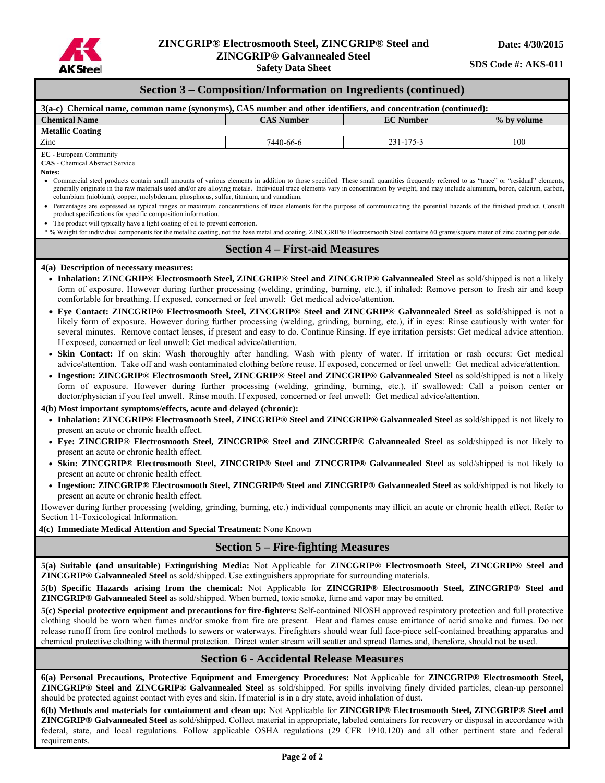

**Safety Data Sheet** 

**SDS Code #: AKS-011** 

|  |  | <b>Section 3 – Composition/Information on Ingredients (continued)</b> |  |
|--|--|-----------------------------------------------------------------------|--|
|  |  |                                                                       |  |

| 3(a-c) Chemical name, common name (synonyms), CAS number and other identifiers, and concentration (continued):                                                                                                                                                                                                                                                                                                                                                                                                                                                                                                                                                                                                                                                                                                                                                                                                                                                                                                                                                                                                                                                                                                                                                                                                                                                                                                                                                                                                                                                                                                                                                                                                                                                                                                                                                                                                                                                                                                                                                                                                                                                                                                                                                                                                                                                                                                                                                                                                                                                                              |                                       |                  |             |  |  |  |
|---------------------------------------------------------------------------------------------------------------------------------------------------------------------------------------------------------------------------------------------------------------------------------------------------------------------------------------------------------------------------------------------------------------------------------------------------------------------------------------------------------------------------------------------------------------------------------------------------------------------------------------------------------------------------------------------------------------------------------------------------------------------------------------------------------------------------------------------------------------------------------------------------------------------------------------------------------------------------------------------------------------------------------------------------------------------------------------------------------------------------------------------------------------------------------------------------------------------------------------------------------------------------------------------------------------------------------------------------------------------------------------------------------------------------------------------------------------------------------------------------------------------------------------------------------------------------------------------------------------------------------------------------------------------------------------------------------------------------------------------------------------------------------------------------------------------------------------------------------------------------------------------------------------------------------------------------------------------------------------------------------------------------------------------------------------------------------------------------------------------------------------------------------------------------------------------------------------------------------------------------------------------------------------------------------------------------------------------------------------------------------------------------------------------------------------------------------------------------------------------------------------------------------------------------------------------------------------------|---------------------------------------|------------------|-------------|--|--|--|
| <b>Chemical Name</b>                                                                                                                                                                                                                                                                                                                                                                                                                                                                                                                                                                                                                                                                                                                                                                                                                                                                                                                                                                                                                                                                                                                                                                                                                                                                                                                                                                                                                                                                                                                                                                                                                                                                                                                                                                                                                                                                                                                                                                                                                                                                                                                                                                                                                                                                                                                                                                                                                                                                                                                                                                        | <b>CAS Number</b>                     | <b>EC</b> Number | % by volume |  |  |  |
| <b>Metallic Coating</b>                                                                                                                                                                                                                                                                                                                                                                                                                                                                                                                                                                                                                                                                                                                                                                                                                                                                                                                                                                                                                                                                                                                                                                                                                                                                                                                                                                                                                                                                                                                                                                                                                                                                                                                                                                                                                                                                                                                                                                                                                                                                                                                                                                                                                                                                                                                                                                                                                                                                                                                                                                     |                                       |                  |             |  |  |  |
| Zinc                                                                                                                                                                                                                                                                                                                                                                                                                                                                                                                                                                                                                                                                                                                                                                                                                                                                                                                                                                                                                                                                                                                                                                                                                                                                                                                                                                                                                                                                                                                                                                                                                                                                                                                                                                                                                                                                                                                                                                                                                                                                                                                                                                                                                                                                                                                                                                                                                                                                                                                                                                                        | 7440-66-6                             | 231-175-3        | 100         |  |  |  |
| EC - European Community<br><b>CAS</b> - Chemical Abstract Service<br>Notes:<br>• Commercial steel products contain small amounts of various elements in addition to those specified. These small quantities frequently referred to as "trace" or "residual" elements,<br>generally originate in the raw materials used and/or are alloying metals. Individual trace elements vary in concentration by weight, and may include aluminum, boron, calcium, carbon,<br>columbium (niobium), copper, molybdenum, phosphorus, sulfur, titanium, and vanadium.<br>• Percentages are expressed as typical ranges or maximum concentrations of trace elements for the purpose of communicating the potential hazards of the finished product. Consult<br>product specifications for specific composition information.<br>• The product will typically have a light coating of oil to prevent corrosion.<br>* % Weight for individual components for the metallic coating, not the base metal and coating. ZINCGRIP® Electrosmooth Steel contains 60 grams/square meter of zinc coating per side.                                                                                                                                                                                                                                                                                                                                                                                                                                                                                                                                                                                                                                                                                                                                                                                                                                                                                                                                                                                                                                                                                                                                                                                                                                                                                                                                                                                                                                                                                                     |                                       |                  |             |  |  |  |
|                                                                                                                                                                                                                                                                                                                                                                                                                                                                                                                                                                                                                                                                                                                                                                                                                                                                                                                                                                                                                                                                                                                                                                                                                                                                                                                                                                                                                                                                                                                                                                                                                                                                                                                                                                                                                                                                                                                                                                                                                                                                                                                                                                                                                                                                                                                                                                                                                                                                                                                                                                                             | <b>Section 4 – First-aid Measures</b> |                  |             |  |  |  |
| 4(a) Description of necessary measures:<br>• Inhalation: ZINCGRIP® Electrosmooth Steel, ZINCGRIP® Steel and ZINCGRIP® Galvannealed Steel as sold/shipped is not a likely<br>form of exposure. However during further processing (welding, grinding, burning, etc.), if inhaled: Remove person to fresh air and keep<br>comfortable for breathing. If exposed, concerned or feel unwell: Get medical advice/attention.<br>• Eye Contact: ZINCGRIP® Electrosmooth Steel, ZINCGRIP® Steel and ZINCGRIP® Galvannealed Steel as sold/shipped is not a<br>likely form of exposure. However during further processing (welding, grinding, burning, etc.), if in eyes: Rinse cautiously with water for<br>several minutes. Remove contact lenses, if present and easy to do. Continue Rinsing. If eye irritation persists: Get medical advice attention.<br>If exposed, concerned or feel unwell: Get medical advice/attention.<br>· Skin Contact: If on skin: Wash thoroughly after handling. Wash with plenty of water. If irritation or rash occurs: Get medical<br>advice/attention. Take off and wash contaminated clothing before reuse. If exposed, concerned or feel unwell: Get medical advice/attention.<br>• Ingestion: ZINCGRIP® Electrosmooth Steel, ZINCGRIP® Steel and ZINCGRIP® Galvannealed Steel as sold/shipped is not a likely<br>form of exposure. However during further processing (welding, grinding, burning, etc.), if swallowed: Call a poison center or<br>doctor/physician if you feel unwell. Rinse mouth. If exposed, concerned or feel unwell: Get medical advice/attention.<br>4(b) Most important symptoms/effects, acute and delayed (chronic):<br>• Inhalation: ZINCGRIP® Electrosmooth Steel, ZINCGRIP® Steel and ZINCGRIP® Galvannealed Steel as sold/shipped is not likely to<br>present an acute or chronic health effect.<br>• Eye: ZINCGRIP® Electrosmooth Steel, ZINCGRIP® Steel and ZINCGRIP® Galvannealed Steel as sold/shipped is not likely to<br>present an acute or chronic health effect.<br>• Skin: ZINCGRIP® Electrosmooth Steel, ZINCGRIP® Steel and ZINCGRIP® Galvannealed Steel as sold/shipped is not likely to<br>present an acute or chronic health effect.<br>• Ingestion: ZINCGRIP® Electrosmooth Steel, ZINCGRIP® Steel and ZINCGRIP® Galvannealed Steel as sold/shipped is not likely to<br>present an acute or chronic health effect.<br>However during further processing (welding, grinding, burning, etc.) individual components may illicit an acute or chronic health effect. Refer to<br>Section 11-Toxicological Information. |                                       |                  |             |  |  |  |
| 4(c) Immediate Medical Attention and Special Treatment: None Known                                                                                                                                                                                                                                                                                                                                                                                                                                                                                                                                                                                                                                                                                                                                                                                                                                                                                                                                                                                                                                                                                                                                                                                                                                                                                                                                                                                                                                                                                                                                                                                                                                                                                                                                                                                                                                                                                                                                                                                                                                                                                                                                                                                                                                                                                                                                                                                                                                                                                                                          |                                       |                  |             |  |  |  |
| <b>Section 5 – Fire-fighting Measures</b><br>5(a) Suitable (and unsuitable) Extinguishing Media: Not Applicable for ZINCGRIP® Electrosmooth Steel, ZINCGRIP® Steel and<br>ZINCGRIP® Galvannealed Steel as sold/shipped. Use extinguishers appropriate for surrounding materials.<br>5(b) Specific Hazards arising from the chemical: Not Applicable for ZINCGRIP® Electrosmooth Steel, ZINCGRIP® Steel and<br><b>ZINCGRIP®</b> Galvannealed Steel as sold/shipped. When burned, toxic smoke, fume and vapor may be emitted.<br>5(c) Special protective equipment and precautions for fire-fighters: Self-contained NIOSH approved respiratory protection and full protective<br>clothing should be worn when fumes and/or smoke from fire are present. Heat and flames cause emittance of acrid smoke and fumes. Do not<br>release runoff from fire control methods to sewers or waterways. Firefighters should wear full face-piece self-contained breathing apparatus and<br>chemical protective clothing with thermal protection. Direct water stream will scatter and spread flames and, therefore, should not be used.<br><b>Section 6 - Accidental Release Measures</b>                                                                                                                                                                                                                                                                                                                                                                                                                                                                                                                                                                                                                                                                                                                                                                                                                                                                                                                                                                                                                                                                                                                                                                                                                                                                                                                                                                                                               |                                       |                  |             |  |  |  |
| 6(a) Personal Precautions, Protective Equipment and Emergency Procedures: Not Applicable for ZINCGRIP® Electrosmooth Steel,<br><b>ZINCGRIP®</b> Steel and ZINCGRIP® Galvannealed Steel as sold/shipped. For spills involving finely divided particles, clean-up personnel                                                                                                                                                                                                                                                                                                                                                                                                                                                                                                                                                                                                                                                                                                                                                                                                                                                                                                                                                                                                                                                                                                                                                                                                                                                                                                                                                                                                                                                                                                                                                                                                                                                                                                                                                                                                                                                                                                                                                                                                                                                                                                                                                                                                                                                                                                                   |                                       |                  |             |  |  |  |

should be protected against contact with eyes and skin. If material is in a dry state, avoid inhalation of dust. **6(b) Methods and materials for containment and clean up:** Not Applicable for **ZINCGRIP® Electrosmooth Steel, ZINCGRIP® Steel and ZINCGRIP® Galvannealed Steel** as sold/shipped. Collect material in appropriate, labeled containers for recovery or disposal in accordance with federal, state, and local regulations. Follow applicable OSHA regulations (29 CFR 1910.120) and all other pertinent state and federal requirements.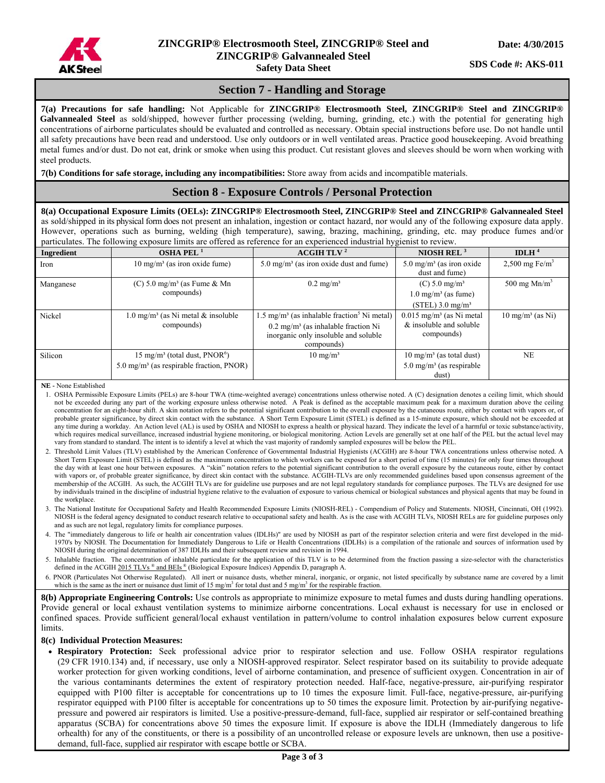

# **Section 7 - Handling and Storage**

**7(a) Precautions for safe handling:** Not Applicable for **ZINCGRIP® Electrosmooth Steel, ZINCGRIP® Steel and ZINCGRIP® Galvannealed Steel** as sold/shipped, however further processing (welding, burning, grinding, etc.) with the potential for generating high concentrations of airborne particulates should be evaluated and controlled as necessary. Obtain special instructions before use. Do not handle until all safety precautions have been read and understood. Use only outdoors or in well ventilated areas. Practice good housekeeping. Avoid breathing metal fumes and/or dust. Do not eat, drink or smoke when using this product. Cut resistant gloves and sleeves should be worn when working with steel products.

**7(b) Conditions for safe storage, including any incompatibilities:** Store away from acids and incompatible materials.

### **Section 8 - Exposure Controls / Personal Protection**

**8(a) Occupational Exposure Limits (OELs): ZINCGRIP® Electrosmooth Steel, ZINCGRIP® Steel and ZINCGRIP® Galvannealed Steel**  as sold/shipped in its physical form does not present an inhalation, ingestion or contact hazard, nor would any of the following exposure data apply. However, operations such as burning, welding (high temperature), sawing, brazing, machining, grinding, etc. may produce fumes and/or particulates. The following exposure limits are offered as reference for an experienced industrial hygienist to review.

| <u>na enpodare minio are orierea ao reierense ior an enperiencea maaoumining premot te re </u> |                                                                                                              |                                                                                                                                                                            |                                                                                     |                              |  |  |
|------------------------------------------------------------------------------------------------|--------------------------------------------------------------------------------------------------------------|----------------------------------------------------------------------------------------------------------------------------------------------------------------------------|-------------------------------------------------------------------------------------|------------------------------|--|--|
| Ingredient                                                                                     | OSHA PEL $1$                                                                                                 | ACGIH TLV <sup>2</sup>                                                                                                                                                     | NIOSH REL $3$                                                                       | IDLH $4$                     |  |  |
| Iron                                                                                           | $10 \text{ mg/m}^3$ (as iron oxide fume)                                                                     | $5.0 \text{ mg/m}^3$ (as iron oxide dust and fume)                                                                                                                         | $5.0 \text{ mg/m}^3$ (as iron oxide<br>dust and fume)                               | $2,500$ mg Fe/m <sup>3</sup> |  |  |
| Manganese                                                                                      | $(C)$ 5.0 mg/m <sup>3</sup> (as Fume & Mn)                                                                   | $0.2 \text{ mg/m}^3$                                                                                                                                                       | (C) 5.0 mg/m <sup>3</sup>                                                           | 500 mg $Mn/m3$               |  |  |
|                                                                                                | compounds)                                                                                                   |                                                                                                                                                                            | $1.0 \text{ mg/m}^3$ (as fume)                                                      |                              |  |  |
|                                                                                                |                                                                                                              |                                                                                                                                                                            | $(STEL)$ 3.0 mg/m <sup>3</sup>                                                      |                              |  |  |
| Nickel                                                                                         | $1.0 \text{ mg/m}^3$ (as Ni metal & insoluble<br>compounds)                                                  | $1.5 \text{ mg/m}^3$ (as inhalable fraction <sup>5</sup> Ni metal)<br>$0.2 \text{ mg/m}^3$ (as inhalable fraction Ni<br>inorganic only insoluble and soluble<br>compounds) | $0.015$ mg/m <sup>3</sup> (as Ni metal<br>& insoluble and soluble<br>compounds)     | $10 \text{ mg/m}^3$ (as Ni)  |  |  |
| Silicon                                                                                        | $15 \text{ mg/m}^3$ (total dust, PNOR <sup>6</sup> )<br>5.0 mg/m <sup>3</sup> (as respirable fraction, PNOR) | $10 \text{ mg/m}^3$                                                                                                                                                        | $10 \text{ mg/m}^3$ (as total dust)<br>$5.0 \text{ mg/m}^3$ (as respirable<br>dust) | <b>NE</b>                    |  |  |

**NE -** None Established

- 1. OSHA Permissible Exposure Limits (PELs) are 8-hour TWA (time-weighted average) concentrations unless otherwise noted. A (C) designation denotes a ceiling limit, which should not be exceeded during any part of the working exposure unless otherwise noted. A Peak is defined as the acceptable maximum peak for a maximum duration above the ceiling concentration for an eight-hour shift. A skin notation refers to the potential significant contribution to the overall exposure by the cutaneous route, either by contact with vapors or, of probable greater significance, by direct skin contact with the substance. A Short Term Exposure Limit (STEL) is defined as a 15-minute exposure, which should not be exceeded at any time during a workday. An Action level (AL) is used by OSHA and NIOSH to express a health or physical hazard. They indicate the level of a harmful or toxic substance/activity, which requires medical surveillance, increased industrial hygiene monitoring, or biological monitoring. Action Levels are generally set at one half of the PEL but the actual level may vary from standard to standard. The intent is to identify a level at which the vast majority of randomly sampled exposures will be below the PEL.
- 2. Threshold Limit Values (TLV) established by the American Conference of Governmental Industrial Hygienists (ACGIH) are 8-hour TWA concentrations unless otherwise noted. A Short Term Exposure Limit (STEL) is defined as the maximum concentration to which workers can be exposed for a short period of time (15 minutes) for only four times throughout the day with at least one hour between exposures. A "skin" notation refers to the potential significant contribution to the overall exposure by the cutaneous route, either by contact with vapors or, of probable greater significance, by direct skin contact with the substance. ACGIH-TLVs are only recommended guidelines based upon consensus agreement of the membership of the ACGIH. As such, the ACGIH TLVs are for guideline use purposes and are not legal regulatory standards for compliance purposes. The TLVs are designed for use by individuals trained in the discipline of industrial hygiene relative to the evaluation of exposure to various chemical or biological substances and physical agents that may be found in the workplace.
- 3. The National Institute for Occupational Safety and Health Recommended Exposure Limits (NIOSH-REL) Compendium of Policy and Statements. NIOSH, Cincinnati, OH (1992). NIOSH is the federal agency designated to conduct research relative to occupational safety and health. As is the case with ACGIH TLVs, NIOSH RELs are for guideline purposes only and as such are not legal, regulatory limits for compliance purposes.
- 4. The "immediately dangerous to life or health air concentration values (IDLHs)" are used by NIOSH as part of the respirator selection criteria and were first developed in the mid-1970's by NIOSH. The Documentation for Immediately Dangerous to Life or Health Concentrations (IDLHs) is a compilation of the rationale and sources of information used by NIOSH during the original determination of 387 IDLHs and their subsequent review and revision in 1994.
- 5. Inhalable fraction. The concentration of inhalable particulate for the application of this TLV is to be determined from the fraction passing a size-selector with the characteristics defined in the ACGIH  $2015$  TLVs  $^{\circ\circ}$  and BEIs  $^{\circ\circ}$  (Biological Exposure Indices) Appendix D, paragraph A.
- 6. PNOR (Particulates Not Otherwise Regulated). All inert or nuisance dusts, whether mineral, inorganic, or organic, not listed specifically by substance name are covered by a limit which is the same as the inert or nuisance dust limit of 15 mg/m<sup>3</sup> for total dust and 5 mg/m<sup>3</sup> for the respirable fraction.

**8(b) Appropriate Engineering Controls:** Use controls as appropriate to minimize exposure to metal fumes and dusts during handling operations. Provide general or local exhaust ventilation systems to minimize airborne concentrations. Local exhaust is necessary for use in enclosed or confined spaces. Provide sufficient general/local exhaust ventilation in pattern/volume to control inhalation exposures below current exposure limits.

#### **8(c) Individual Protection Measures:**

 **Respiratory Protection:** Seek professional advice prior to respirator selection and use. Follow OSHA respirator regulations (29 CFR 1910.134) and, if necessary, use only a NIOSH-approved respirator. Select respirator based on its suitability to provide adequate worker protection for given working conditions, level of airborne contamination, and presence of sufficient oxygen. Concentration in air of the various contaminants determines the extent of respiratory protection needed. Half-face, negative-pressure, air-purifying respirator equipped with P100 filter is acceptable for concentrations up to 10 times the exposure limit. Full-face, negative-pressure, air-purifying respirator equipped with P100 filter is acceptable for concentrations up to 50 times the exposure limit. Protection by air-purifying negativepressure and powered air respirators is limited. Use a positive-pressure-demand, full-face, supplied air respirator or self-contained breathing apparatus (SCBA) for concentrations above 50 times the exposure limit. If exposure is above the IDLH (Immediately dangerous to life orhealth) for any of the constituents, or there is a possibility of an uncontrolled release or exposure levels are unknown, then use a positivedemand, full-face, supplied air respirator with escape bottle or SCBA.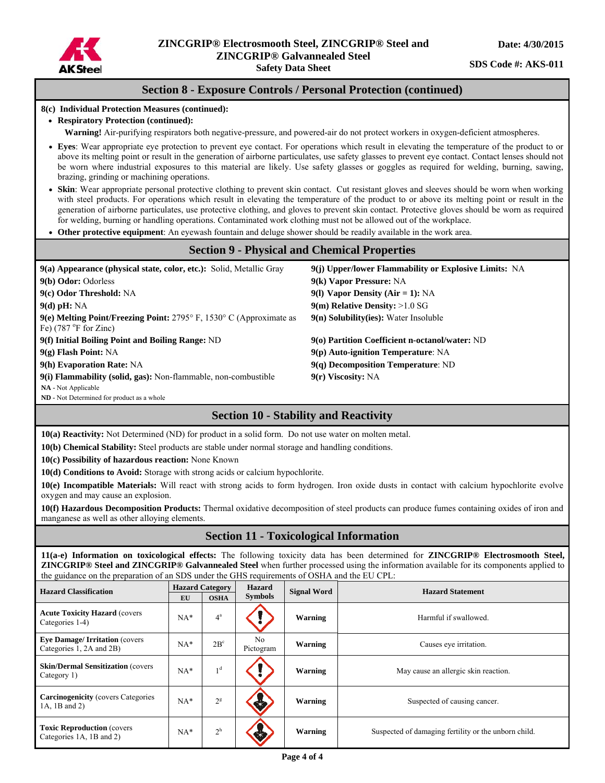

# **Section 8 - Exposure Controls / Personal Protection (continued)**

#### **8(c) Individual Protection Measures (continued):**

#### **Respiratory Protection (continued):**

**Warning!** Air-purifying respirators both negative-pressure, and powered-air do not protect workers in oxygen-deficient atmospheres.

- **Eyes**: Wear appropriate eye protection to prevent eye contact. For operations which result in elevating the temperature of the product to or above its melting point or result in the generation of airborne particulates, use safety glasses to prevent eye contact. Contact lenses should not be worn where industrial exposures to this material are likely. Use safety glasses or goggles as required for welding, burning, sawing, brazing, grinding or machining operations.
- **Skin**: Wear appropriate personal protective clothing to prevent skin contact. Cut resistant gloves and sleeves should be worn when working with steel products. For operations which result in elevating the temperature of the product to or above its melting point or result in the generation of airborne particulates, use protective clothing, and gloves to prevent skin contact. Protective gloves should be worn as required for welding, burning or handling operations. Contaminated work clothing must not be allowed out of the workplace.
- **Other protective equipment**: An eyewash fountain and deluge shower should be readily available in the work area.

### **Section 9 - Physical and Chemical Properties**

| 9(a) Appearance (physical state, color, etc.): Solid, Metallic Gray                                                      | 9(j) Upper/lower Flammability or Explosive Limits: NA |
|--------------------------------------------------------------------------------------------------------------------------|-------------------------------------------------------|
| 9(b) Odor: Odorless                                                                                                      | 9(k) Vapor Pressure: NA                               |
| 9(c) Odor Threshold: NA                                                                                                  | 9(1) Vapor Density (Air = 1): $NA$                    |
| $9(d)$ pH: NA                                                                                                            | $9(m)$ Relative Density: $>1.0$ SG                    |
| 9(e) Melting Point/Freezing Point: $2795^{\circ}$ F, $1530^{\circ}$ C (Approximate as<br>Fe) $(787 \text{ °F}$ for Zinc) | $9(n)$ Solubility(ies): Water Insoluble               |
| 9(f) Initial Boiling Point and Boiling Range: ND                                                                         | 9(o) Partition Coefficient n-octanol/water: ND        |
| $9(g)$ Flash Point: NA                                                                                                   | $9(p)$ Auto-ignition Temperature: NA                  |
| 9(h) Evaporation Rate: NA                                                                                                | $9(q)$ Decomposition Temperature: ND                  |
| 9(i) Flammability (solid, gas): Non-flammable, non-combustible                                                           | $9(r)$ Viscosity: NA                                  |
| <b>NA</b> - Not Applicable                                                                                               |                                                       |

**ND -** Not Determined for product as a whole

# **Section 10 - Stability and Reactivity**

**10(a) Reactivity:** Not Determined (ND) for product in a solid form. Do not use water on molten metal.

**10(b) Chemical Stability:** Steel products are stable under normal storage and handling conditions.

**10(c) Possibility of hazardous reaction:** None Known

**10(d) Conditions to Avoid:** Storage with strong acids or calcium hypochlorite.

**10(e) Incompatible Materials:** Will react with strong acids to form hydrogen. Iron oxide dusts in contact with calcium hypochlorite evolve oxygen and may cause an explosion.

**10(f) Hazardous Decomposition Products:** Thermal oxidative decomposition of steel products can produce fumes containing oxides of iron and manganese as well as other alloying elements.

# **Section 11 - Toxicological Information**

**11(a-e) Information on toxicological effects:** The following toxicity data has been determined for **ZINCGRIP® Electrosmooth Steel, ZINCGRIP® Steel and ZINCGRIP® Galvannealed Steel** when further processed using the information available for its components applied to the guidance on the preparation of an SDS under the GHS requirements of OSHA and the EU CPL:

| <b>Hazard Classification</b>                                      | EU    | <b>Hazard Category</b><br><b>OSHA</b> | <b>Hazard</b><br><b>Symbols</b> | <b>Signal Word</b> | <b>Hazard Statement</b>                              |
|-------------------------------------------------------------------|-------|---------------------------------------|---------------------------------|--------------------|------------------------------------------------------|
| <b>Acute Toxicity Hazard (covers)</b><br>Categories 1-4)          | $NA*$ | $4^a$                                 |                                 | Warning            | Harmful if swallowed.                                |
| <b>Eye Damage/Irritation (covers)</b><br>Categories 1, 2A and 2B) | $NA*$ | $2B^c$                                | No<br>Pictogram                 | Warning            | Causes eye irritation.                               |
| <b>Skin/Dermal Sensitization (covers)</b><br>Category 1)          | $NA*$ | 1 <sup>d</sup>                        |                                 | Warning            | May cause an allergic skin reaction.                 |
| <b>Carcinogenicity</b> (covers Categories<br>1A, 1B and 2)        | $NA*$ | $2^{\rm g}$                           |                                 | Warning            | Suspected of causing cancer.                         |
| <b>Toxic Reproduction (covers)</b><br>Categories 1A, 1B and 2)    | $NA*$ | $2^h$                                 |                                 | Warning            | Suspected of damaging fertility or the unborn child. |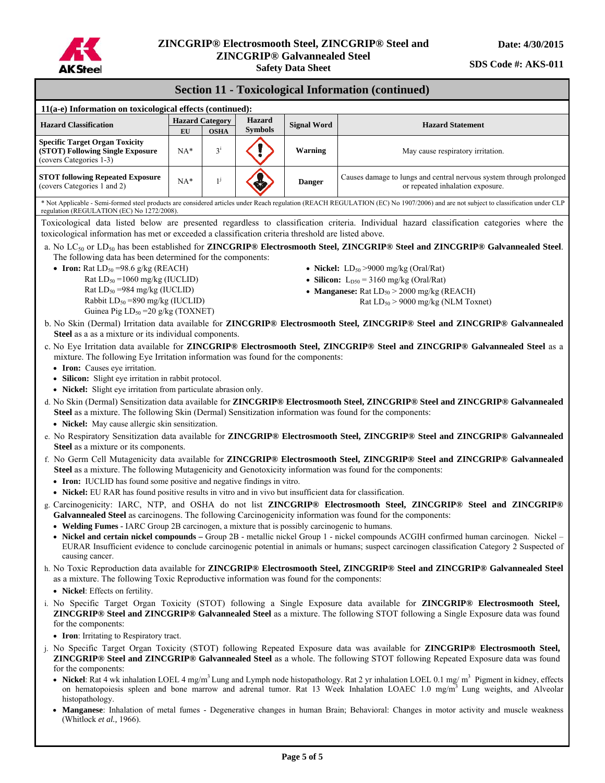

### **Section 11 - Toxicological Information (continued)**

| $11(a-e)$ Information on toxicological effects (continued):                                          |                        |                |                |                    |                                                                                                         |  |
|------------------------------------------------------------------------------------------------------|------------------------|----------------|----------------|--------------------|---------------------------------------------------------------------------------------------------------|--|
| <b>Hazard Classification</b>                                                                         | <b>Hazard Category</b> |                | <b>Hazard</b>  | <b>Signal Word</b> | <b>Hazard Statement</b>                                                                                 |  |
|                                                                                                      | EU                     | <b>OSHA</b>    | <b>Symbols</b> |                    |                                                                                                         |  |
| <b>Specific Target Organ Toxicity</b><br>(STOT) Following Single Exposure<br>(covers Categories 1-3) | $NA*$                  | 2 <sup>1</sup> |                | Warning            | May cause respiratory irritation.                                                                       |  |
| <b>STOT following Repeated Exposure</b><br>(covers Categories 1 and 2)                               | $NA*$                  |                | Ж,             | <b>Danger</b>      | Causes damage to lungs and central nervous system through prolonged<br>or repeated inhalation exposure. |  |
|                                                                                                      |                        |                |                |                    |                                                                                                         |  |

\* Not Applicable - Semi-formed steel products are considered articles under Reach regulation (REACH REGULATION (EC) No 1907/2006) and are not subject to classification under CLP regulation (REGULATION (EC) No 1272/2008).

Toxicological data listed below are presented regardless to classification criteria. Individual hazard classification categories where the toxicological information has met or exceeded a classification criteria threshold are listed above.

- a. No LC50 or LD50 has been established for **ZINCGRIP® Electrosmooth Steel, ZINCGRIP® Steel and ZINCGRIP® Galvannealed Steel**. The following data has been determined for the components:
	- **Iron:**  $Rat LD_{50} = 98.6$  g/kg ( $REACH$ )
		- Rat  $LD_{50} = 1060$  mg/kg (IUCLID) Rat  $LD_{50} = 984$  mg/kg (IUCLID) Rabbit  $LD_{50} = 890$  mg/kg (IUCLID) Guinea Pig LD<sub>50</sub> = 20 g/kg (TOXNET)
- **Nickel:**  $LD_{50} > 9000$  mg/kg (Oral/Rat)
- **Silicon:**  $L_{D50} = 3160$  mg/kg (Oral/Rat)
- Manganese:  $\text{Rat LD}_{50}$  > 2000 mg/kg ( $\text{REACH}$ ) Rat  $LD_{50}$  > 9000 mg/kg (NLM Toxnet)
- b. No Skin (Dermal) Irritation data available for **ZINCGRIP® Electrosmooth Steel, ZINCGRIP® Steel and ZINCGRIP® Galvannealed**  Steel as a as a mixture or its individual components.
- c. No Eye Irritation data available for **ZINCGRIP® Electrosmooth Steel, ZINCGRIP® Steel and ZINCGRIP® Galvannealed Steel** as a mixture. The following Eye Irritation information was found for the components:
	- **Iron:** Causes eye irritation.
	- **Silicon:** Slight eye irritation in rabbit protocol.
	- **Nickel:** Slight eye irritation from particulate abrasion only.
- d. No Skin (Dermal) Sensitization data available for **ZINCGRIP® Electrosmooth Steel, ZINCGRIP® Steel and ZINCGRIP® Galvannealed Steel** as a mixture. The following Skin (Dermal) Sensitization information was found for the components:
	- **Nickel:** May cause allergic skin sensitization.
- e. No Respiratory Sensitization data available for **ZINCGRIP® Electrosmooth Steel, ZINCGRIP® Steel and ZINCGRIP® Galvannealed Steel** as a mixture or its components.
- f. No Germ Cell Mutagenicity data available for **ZINCGRIP® Electrosmooth Steel, ZINCGRIP® Steel and ZINCGRIP® Galvannealed Steel** as a mixture. The following Mutagenicity and Genotoxicity information was found for the components:
	- **Iron:** IUCLID has found some positive and negative findings in vitro.
	- **Nickel:** EU RAR has found positive results in vitro and in vivo but insufficient data for classification.
- g. Carcinogenicity: IARC, NTP, and OSHA do not list **ZINCGRIP® Electrosmooth Steel, ZINCGRIP® Steel and ZINCGRIP® Galvannealed Steel** as carcinogens. The following Carcinogenicity information was found for the components:
	- **Welding Fumes -** IARC Group 2B carcinogen, a mixture that is possibly carcinogenic to humans.
	- **Nickel and certain nickel compounds** Group 2B metallic nickel Group 1 nickel compounds ACGIH confirmed human carcinogen. Nickel EURAR Insufficient evidence to conclude carcinogenic potential in animals or humans; suspect carcinogen classification Category 2 Suspected of causing cancer.
- h. No Toxic Reproduction data available for **ZINCGRIP® Electrosmooth Steel, ZINCGRIP® Steel and ZINCGRIP® Galvannealed Steel**  as a mixture. The following Toxic Reproductive information was found for the components:
	- **Nickel**: Effects on fertility.
- i. No Specific Target Organ Toxicity (STOT) following a Single Exposure data available for **ZINCGRIP® Electrosmooth Steel, ZINCGRIP® Steel and ZINCGRIP® Galvannealed Steel** as a mixture. The following STOT following a Single Exposure data was found for the components:
	- **Iron**: Irritating to Respiratory tract.
- j. No Specific Target Organ Toxicity (STOT) following Repeated Exposure data was available for **ZINCGRIP® Electrosmooth Steel, ZINCGRIP® Steel and ZINCGRIP® Galvannealed Steel** as a whole. The following STOT following Repeated Exposure data was found for the components:
	- Nickel: Rat 4 wk inhalation LOEL 4 mg/m<sup>3</sup> Lung and Lymph node histopathology. Rat 2 yr inhalation LOEL 0.1 mg/ m<sup>3</sup> Pigment in kidney, effects on hematopoiesis spleen and bone marrow and adrenal tumor. Rat 13 Week Inhalation LOAEC 1.0 mg/m<sup>3</sup> Lung weights, and Alveolar histopathology.
	- **Manganese**: Inhalation of metal fumes Degenerative changes in human Brain; Behavioral: Changes in motor activity and muscle weakness (Whitlock *et al.,* 1966).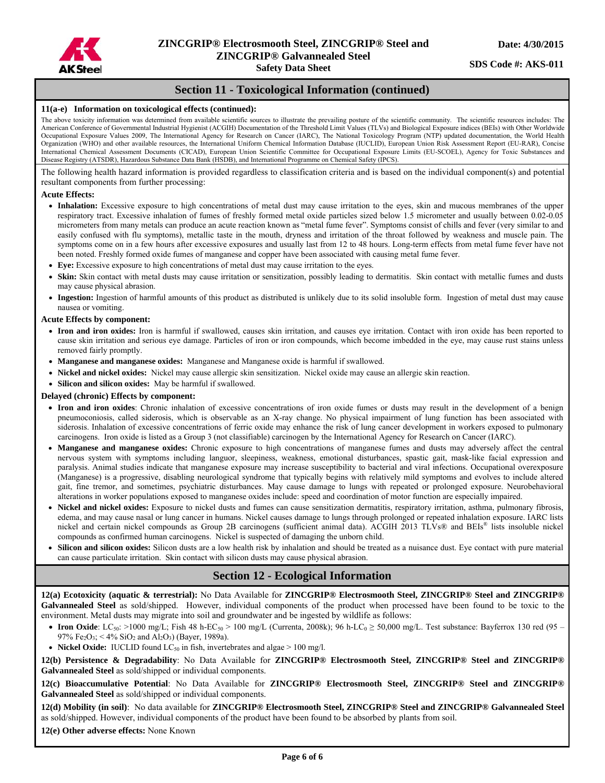

# **Section 11 - Toxicological Information (continued)**

#### **11(a-e) Information on toxicological effects (continued):**

The above toxicity information was determined from available scientific sources to illustrate the prevailing posture of the scientific community. The scientific resources includes: The American Conference of Governmental Industrial Hygienist (ACGIH) Documentation of the Threshold Limit Values (TLVs) and Biological Exposure indices (BEIs) with Other Worldwide Occupational Exposure Values 2009, The International Agency for Research on Cancer (IARC), The National Toxicology Program (NTP) updated documentation, the World Health Organization (WHO) and other available resources, the International Uniform Chemical Information Database (IUCLID), European Union Risk Assessment Report (EU-RAR), Concise International Chemical Assessment Documents (CICAD), European Union Scientific Committee for Occupational Exposure Limits (EU-SCOEL), Agency for Toxic Substances and Disease Registry (ATSDR), Hazardous Substance Data Bank (HSDB), and International Programme on Chemical Safety (IPCS).

The following health hazard information is provided regardless to classification criteria and is based on the individual component(s) and potential resultant components from further processing:

#### **Acute Effects:**

- **Inhalation:** Excessive exposure to high concentrations of metal dust may cause irritation to the eyes, skin and mucous membranes of the upper respiratory tract. Excessive inhalation of fumes of freshly formed metal oxide particles sized below 1.5 micrometer and usually between 0.02-0.05 micrometers from many metals can produce an acute reaction known as "metal fume fever". Symptoms consist of chills and fever (very similar to and easily confused with flu symptoms), metallic taste in the mouth, dryness and irritation of the throat followed by weakness and muscle pain. The symptoms come on in a few hours after excessive exposures and usually last from 12 to 48 hours. Long-term effects from metal fume fever have not been noted. Freshly formed oxide fumes of manganese and copper have been associated with causing metal fume fever.
- **Eye:** Excessive exposure to high concentrations of metal dust may cause irritation to the eyes.
- **Skin:** Skin contact with metal dusts may cause irritation or sensitization, possibly leading to dermatitis. Skin contact with metallic fumes and dusts may cause physical abrasion.
- **Ingestion:** Ingestion of harmful amounts of this product as distributed is unlikely due to its solid insoluble form. Ingestion of metal dust may cause nausea or vomiting.

#### **Acute Effects by component:**

- **Iron and iron oxides:** Iron is harmful if swallowed, causes skin irritation, and causes eye irritation. Contact with iron oxide has been reported to cause skin irritation and serious eye damage. Particles of iron or iron compounds, which become imbedded in the eye, may cause rust stains unless removed fairly promptly.
- **Manganese and manganese oxides:** Manganese and Manganese oxide is harmful if swallowed.
- **Nickel and nickel oxides:** Nickel may cause allergic skin sensitization. Nickel oxide may cause an allergic skin reaction.
- **Silicon and silicon oxides:** May be harmful if swallowed.

#### **Delayed (chronic) Effects by component:**

- **Iron and iron oxides**: Chronic inhalation of excessive concentrations of iron oxide fumes or dusts may result in the development of a benign pneumoconiosis, called siderosis, which is observable as an X-ray change. No physical impairment of lung function has been associated with siderosis. Inhalation of excessive concentrations of ferric oxide may enhance the risk of lung cancer development in workers exposed to pulmonary carcinogens. Iron oxide is listed as a Group 3 (not classifiable) carcinogen by the International Agency for Research on Cancer (IARC).
- **Manganese and manganese oxides:** Chronic exposure to high concentrations of manganese fumes and dusts may adversely affect the central nervous system with symptoms including languor, sleepiness, weakness, emotional disturbances, spastic gait, mask-like facial expression and paralysis. Animal studies indicate that manganese exposure may increase susceptibility to bacterial and viral infections. Occupational overexposure (Manganese) is a progressive, disabling neurological syndrome that typically begins with relatively mild symptoms and evolves to include altered gait, fine tremor, and sometimes, psychiatric disturbances. May cause damage to lungs with repeated or prolonged exposure. Neurobehavioral alterations in worker populations exposed to manganese oxides include: speed and coordination of motor function are especially impaired.
- **Nickel and nickel oxides:** Exposure to nickel dusts and fumes can cause sensitization dermatitis, respiratory irritation, asthma, pulmonary fibrosis, edema, and may cause nasal or lung cancer in humans. Nickel causes damage to lungs through prolonged or repeated inhalation exposure. IARC lists nickel and certain nickel compounds as Group 2B carcinogens (sufficient animal data). ACGIH 2013 TLVs® and BEIs® lists insoluble nickel compounds as confirmed human carcinogens. Nickel is suspected of damaging the unborn child.
- **Silicon and silicon oxides:** Silicon dusts are a low health risk by inhalation and should be treated as a nuisance dust. Eye contact with pure material can cause particulate irritation. Skin contact with silicon dusts may cause physical abrasion.

### **Section 12 - Ecological Information**

**12(a) Ecotoxicity (aquatic & terrestrial):** No Data Available for **ZINCGRIP® Electrosmooth Steel, ZINCGRIP® Steel and ZINCGRIP® Galvannealed Steel** as sold/shipped. However, individual components of the product when processed have been found to be toxic to the environment. Metal dusts may migrate into soil and groundwater and be ingested by wildlife as follows:

- **Iron Oxide**: LC<sub>50</sub>: >1000 mg/L; Fish 48 h-EC<sub>50</sub> > 100 mg/L (Currenta, 2008k); 96 h-LC<sub>0</sub> ≥ 50,000 mg/L. Test substance: Bayferrox 130 red (95 97% Fe<sub>2</sub>O<sub>3</sub>; < 4% SiO<sub>2</sub> and Al<sub>2</sub>O<sub>3</sub>) (Bayer, 1989a).
- **Nickel Oxide:** IUCLID found  $LC_{50}$  in fish, invertebrates and algae  $> 100$  mg/l.

**12(b) Persistence & Degradability**: No Data Available for **ZINCGRIP® Electrosmooth Steel, ZINCGRIP® Steel and ZINCGRIP® Galvannealed Steel** as sold/shipped or individual components.

**12(c) Bioaccumulative Potential**: No Data Available for **ZINCGRIP® Electrosmooth Steel, ZINCGRIP® Steel and ZINCGRIP® Galvannealed Steel** as sold/shipped or individual components.

**12(d) Mobility (in soil)**: No data available for **ZINCGRIP® Electrosmooth Steel, ZINCGRIP® Steel and ZINCGRIP® Galvannealed Steel**  as sold/shipped. However, individual components of the product have been found to be absorbed by plants from soil.

**12(e) Other adverse effects:** None Known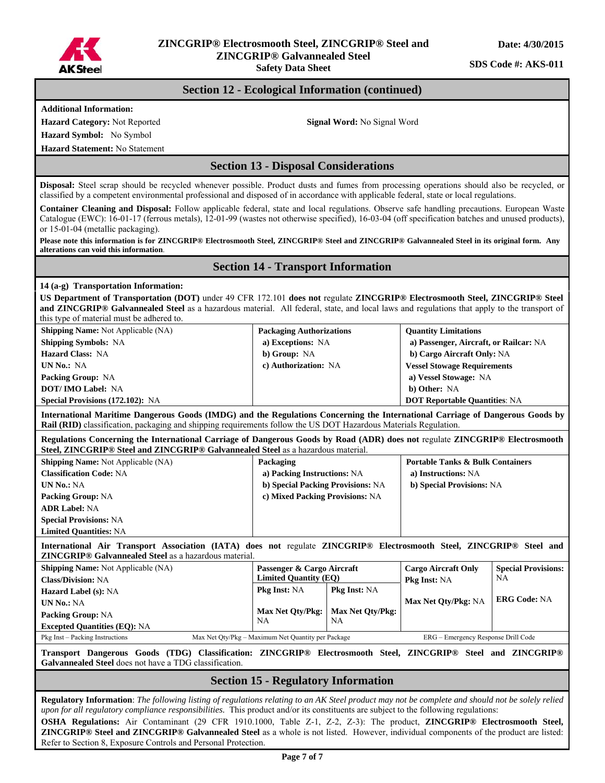

# **ZINCGRIP® Electrosmooth Steel, ZINCGRIP® Steel and ZINCGRIP® Galvannealed Steel**

**Safety Data Sheet** 

**SDS Code #: AKS-011** 

### **Section 12 - Ecological Information (continued)**

**Additional Information:** 

**Hazard Category:** Not Reported Signal Word: No Signal Word: No Signal Word:

**Hazard Symbol:** No Symbol

**Hazard Statement:** No Statement

**Section 13 - Disposal Considerations** 

**Disposal:** Steel scrap should be recycled whenever possible. Product dusts and fumes from processing operations should also be recycled, or classified by a competent environmental professional and disposed of in accordance with applicable federal, state or local regulations.

**Container Cleaning and Disposal:** Follow applicable federal, state and local regulations. Observe safe handling precautions. European Waste Catalogue (EWC): 16-01-17 (ferrous metals), 12-01-99 (wastes not otherwise specified), 16-03-04 (off specification batches and unused products), or 15-01-04 (metallic packaging).

**Please note this information is for ZINCGRIP® Electrosmooth Steel, ZINCGRIP® Steel and ZINCGRIP® Galvannealed Steel in its original form. Any alterations can void this information**.

#### **Section 14 - Transport Information**

#### **14 (a-g) Transportation Information:**

**US Department of Transportation (DOT)** under 49 CFR 172.101 **does not** regulate **ZINCGRIP® Electrosmooth Steel, ZINCGRIP® Steel and ZINCGRIP® Galvannealed Steel** as a hazardous material. All federal, state, and local laws and regulations that apply to the transport of this type of material must be adhered to.

| <b>Shipping Name:</b> Not Applicable (NA)                                                                                                                                                                                                                | <b>Packaging Authorizations</b> | <b>Quantity Limitations</b>            |  |  |
|----------------------------------------------------------------------------------------------------------------------------------------------------------------------------------------------------------------------------------------------------------|---------------------------------|----------------------------------------|--|--|
| <b>Shipping Symbols: NA</b>                                                                                                                                                                                                                              | a) Exceptions: NA               | a) Passenger, Aircraft, or Railcar: NA |  |  |
| <b>Hazard Class: NA</b>                                                                                                                                                                                                                                  | b) Group: NA                    | b) Cargo Aircraft Only: NA             |  |  |
| UN No.: NA                                                                                                                                                                                                                                               | c) Authorization: NA            | <b>Vessel Stowage Requirements</b>     |  |  |
| <b>Packing Group: NA</b>                                                                                                                                                                                                                                 |                                 | a) Vessel Stowage: NA                  |  |  |
| <b>DOT/IMO Label: NA</b>                                                                                                                                                                                                                                 |                                 | b) Other: NA                           |  |  |
| <b>Special Provisions (172.102): NA</b>                                                                                                                                                                                                                  |                                 | <b>DOT Reportable Quantities: NA</b>   |  |  |
| International Maritime Dangerous Goods (IMDG) and the Regulations Concerning the International Carriage of Dangerous Goods by<br><b>Rail (RID)</b> classification, packaging and shipping requirements follow the US DOT Hazardous Materials Regulation. |                                 |                                        |  |  |

**Regulations Concerning the International Carriage of Dangerous Goods by Road (ADR) does not** regulate **ZINCGRIP® Electrosmooth Steel, ZINCGRIP® Steel and ZINCGRIP® Galvannealed Steel** as a hazardous material.

| <b>Shipping Name:</b> Not Applicable (NA) | Packaging                         | <b>Portable Tanks &amp; Bulk Containers</b> |
|-------------------------------------------|-----------------------------------|---------------------------------------------|
| <b>Classification Code: NA</b>            | a) Packing Instructions: NA       | a) Instructions: NA                         |
| UN No.: NA                                | b) Special Packing Provisions: NA | b) Special Provisions: NA                   |
| <b>Packing Group: NA</b>                  | c) Mixed Packing Provisions: NA   |                                             |
| <b>ADR Label: NA</b>                      |                                   |                                             |
| <b>Special Provisions: NA</b>             |                                   |                                             |
| <b>Limited Quantities: NA</b>             |                                   |                                             |

**International Air Transport Association (IATA) does not** regulate **ZINCGRIP® Electrosmooth Steel, ZINCGRIP® Steel and ZINCGRIP® Galvannealed Steel** as a hazardous material.

| <b>Shipping Name:</b> Not Applicable (NA) |  | Passenger & Cargo Aircraft                         |                        | <b>Cargo Aircraft Only</b>          | <b>Special Provisions:</b> |
|-------------------------------------------|--|----------------------------------------------------|------------------------|-------------------------------------|----------------------------|
| <b>Class/Division: NA</b>                 |  | <b>Limited Quantity (EQ)</b>                       |                        | <b>Pkg Inst: NA</b>                 | NA                         |
| <b>Hazard Label (s): NA</b>               |  | <b>Pkg Inst: NA</b>                                | <b>Pkg Inst: NA</b>    |                                     |                            |
| <b>UN No.: NA</b>                         |  |                                                    |                        | Max Net Otv/Pkg: NA                 | <b>ERG Code: NA</b>        |
| <b>Packing Group: NA</b>                  |  | Max Net Oty/Pkg:                                   | Max Net Otv/Pkg:<br>NA |                                     |                            |
| <b>Excepted Quantities (EQ): NA</b>       |  | NA                                                 |                        |                                     |                            |
| Pkg Inst – Packing Instructions           |  | Max Net Qty/Pkg – Maximum Net Quantity per Package |                        | ERG – Emergency Response Drill Code |                            |

#### **Transport Dangerous Goods (TDG) Classification: ZINCGRIP® Electrosmooth Steel, ZINCGRIP® Steel and ZINCGRIP® Galvannealed Steel** does not have a TDG classification.

### **Section 15 - Regulatory Information**

**Regulatory Information**: *The following listing of regulations relating to an AK Steel product may not be complete and should not be solely relied upon for all regulatory compliance responsibilities.* This product and/or its constituents are subject to the following regulations:

**OSHA Regulations:** Air Contaminant (29 CFR 1910.1000, Table Z-1, Z-2, Z-3): The product, **ZINCGRIP® Electrosmooth Steel, ZINCGRIP® Steel and ZINCGRIP® Galvannealed Steel** as a whole is not listed. However, individual components of the product are listed: Refer to Section 8, Exposure Controls and Personal Protection.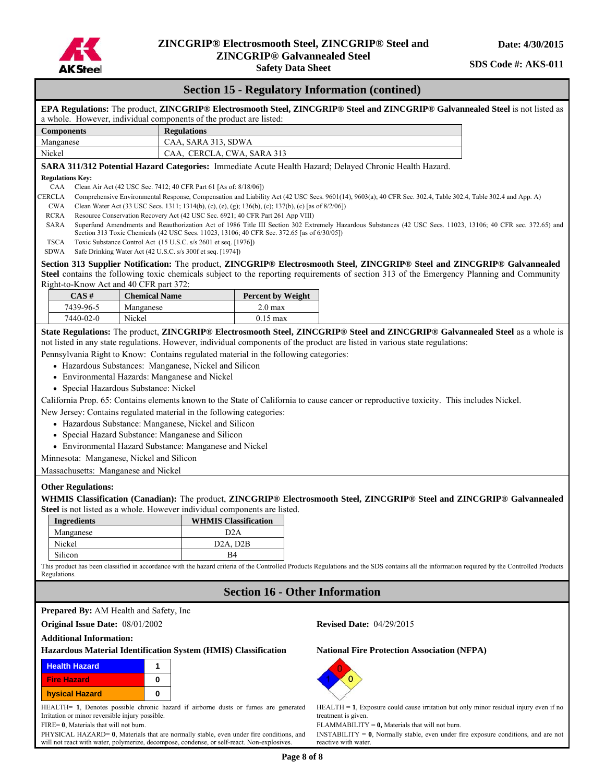

#### **Safety Data Sheet**

### **Section 15 - Regulatory Information (contined)**

|                                                                                                                                                                                                                                                                                                                                                                                                                                                                                            |                                                                                                                                                                                                                   | EPA Regulations: The product, ZINCGRIP® Electrosmooth Steel, ZINCGRIP® Steel and ZINCGRIP® Galvannealed Steel is not listed as                                                                                                                                                                                                                                                                                                                                                                                                                                                                                                                                                                                                                                                                                                                                                                                                                                                                                                                                                   |  |  |  |  |  |
|--------------------------------------------------------------------------------------------------------------------------------------------------------------------------------------------------------------------------------------------------------------------------------------------------------------------------------------------------------------------------------------------------------------------------------------------------------------------------------------------|-------------------------------------------------------------------------------------------------------------------------------------------------------------------------------------------------------------------|----------------------------------------------------------------------------------------------------------------------------------------------------------------------------------------------------------------------------------------------------------------------------------------------------------------------------------------------------------------------------------------------------------------------------------------------------------------------------------------------------------------------------------------------------------------------------------------------------------------------------------------------------------------------------------------------------------------------------------------------------------------------------------------------------------------------------------------------------------------------------------------------------------------------------------------------------------------------------------------------------------------------------------------------------------------------------------|--|--|--|--|--|
|                                                                                                                                                                                                                                                                                                                                                                                                                                                                                            |                                                                                                                                                                                                                   |                                                                                                                                                                                                                                                                                                                                                                                                                                                                                                                                                                                                                                                                                                                                                                                                                                                                                                                                                                                                                                                                                  |  |  |  |  |  |
|                                                                                                                                                                                                                                                                                                                                                                                                                                                                                            |                                                                                                                                                                                                                   |                                                                                                                                                                                                                                                                                                                                                                                                                                                                                                                                                                                                                                                                                                                                                                                                                                                                                                                                                                                                                                                                                  |  |  |  |  |  |
|                                                                                                                                                                                                                                                                                                                                                                                                                                                                                            |                                                                                                                                                                                                                   |                                                                                                                                                                                                                                                                                                                                                                                                                                                                                                                                                                                                                                                                                                                                                                                                                                                                                                                                                                                                                                                                                  |  |  |  |  |  |
| Nickel                                                                                                                                                                                                                                                                                                                                                                                                                                                                                     |                                                                                                                                                                                                                   |                                                                                                                                                                                                                                                                                                                                                                                                                                                                                                                                                                                                                                                                                                                                                                                                                                                                                                                                                                                                                                                                                  |  |  |  |  |  |
|                                                                                                                                                                                                                                                                                                                                                                                                                                                                                            |                                                                                                                                                                                                                   |                                                                                                                                                                                                                                                                                                                                                                                                                                                                                                                                                                                                                                                                                                                                                                                                                                                                                                                                                                                                                                                                                  |  |  |  |  |  |
|                                                                                                                                                                                                                                                                                                                                                                                                                                                                                            |                                                                                                                                                                                                                   |                                                                                                                                                                                                                                                                                                                                                                                                                                                                                                                                                                                                                                                                                                                                                                                                                                                                                                                                                                                                                                                                                  |  |  |  |  |  |
| CAA<br>Clean Air Act (42 USC Sec. 7412; 40 CFR Part 61 [As of: 8/18/06])<br>CERCLA<br>Comprehensive Environmental Response, Compensation and Liability Act (42 USC Secs. 9601(14), 9603(a); 40 CFR Sec. 302.4, Table 302.4, Table 302.4 and App. A)                                                                                                                                                                                                                                        |                                                                                                                                                                                                                   |                                                                                                                                                                                                                                                                                                                                                                                                                                                                                                                                                                                                                                                                                                                                                                                                                                                                                                                                                                                                                                                                                  |  |  |  |  |  |
|                                                                                                                                                                                                                                                                                                                                                                                                                                                                                            |                                                                                                                                                                                                                   |                                                                                                                                                                                                                                                                                                                                                                                                                                                                                                                                                                                                                                                                                                                                                                                                                                                                                                                                                                                                                                                                                  |  |  |  |  |  |
|                                                                                                                                                                                                                                                                                                                                                                                                                                                                                            |                                                                                                                                                                                                                   |                                                                                                                                                                                                                                                                                                                                                                                                                                                                                                                                                                                                                                                                                                                                                                                                                                                                                                                                                                                                                                                                                  |  |  |  |  |  |
|                                                                                                                                                                                                                                                                                                                                                                                                                                                                                            |                                                                                                                                                                                                                   | Superfund Amendments and Reauthorization Act of 1986 Title III Section 302 Extremely Hazardous Substances (42 USC Secs. 11023, 13106; 40 CFR sec. 372.65) and                                                                                                                                                                                                                                                                                                                                                                                                                                                                                                                                                                                                                                                                                                                                                                                                                                                                                                                    |  |  |  |  |  |
|                                                                                                                                                                                                                                                                                                                                                                                                                                                                                            |                                                                                                                                                                                                                   |                                                                                                                                                                                                                                                                                                                                                                                                                                                                                                                                                                                                                                                                                                                                                                                                                                                                                                                                                                                                                                                                                  |  |  |  |  |  |
|                                                                                                                                                                                                                                                                                                                                                                                                                                                                                            |                                                                                                                                                                                                                   |                                                                                                                                                                                                                                                                                                                                                                                                                                                                                                                                                                                                                                                                                                                                                                                                                                                                                                                                                                                                                                                                                  |  |  |  |  |  |
|                                                                                                                                                                                                                                                                                                                                                                                                                                                                                            |                                                                                                                                                                                                                   | Section 313 Supplier Notification: The product, ZINCGRIP® Electrosmooth Steel, ZINCGRIP® Steel and ZINCGRIP® Galvannealed                                                                                                                                                                                                                                                                                                                                                                                                                                                                                                                                                                                                                                                                                                                                                                                                                                                                                                                                                        |  |  |  |  |  |
|                                                                                                                                                                                                                                                                                                                                                                                                                                                                                            |                                                                                                                                                                                                                   | Steel contains the following toxic chemicals subject to the reporting requirements of section 313 of the Emergency Planning and Community                                                                                                                                                                                                                                                                                                                                                                                                                                                                                                                                                                                                                                                                                                                                                                                                                                                                                                                                        |  |  |  |  |  |
|                                                                                                                                                                                                                                                                                                                                                                                                                                                                                            |                                                                                                                                                                                                                   |                                                                                                                                                                                                                                                                                                                                                                                                                                                                                                                                                                                                                                                                                                                                                                                                                                                                                                                                                                                                                                                                                  |  |  |  |  |  |
|                                                                                                                                                                                                                                                                                                                                                                                                                                                                                            |                                                                                                                                                                                                                   |                                                                                                                                                                                                                                                                                                                                                                                                                                                                                                                                                                                                                                                                                                                                                                                                                                                                                                                                                                                                                                                                                  |  |  |  |  |  |
|                                                                                                                                                                                                                                                                                                                                                                                                                                                                                            |                                                                                                                                                                                                                   |                                                                                                                                                                                                                                                                                                                                                                                                                                                                                                                                                                                                                                                                                                                                                                                                                                                                                                                                                                                                                                                                                  |  |  |  |  |  |
|                                                                                                                                                                                                                                                                                                                                                                                                                                                                                            |                                                                                                                                                                                                                   |                                                                                                                                                                                                                                                                                                                                                                                                                                                                                                                                                                                                                                                                                                                                                                                                                                                                                                                                                                                                                                                                                  |  |  |  |  |  |
|                                                                                                                                                                                                                                                                                                                                                                                                                                                                                            |                                                                                                                                                                                                                   |                                                                                                                                                                                                                                                                                                                                                                                                                                                                                                                                                                                                                                                                                                                                                                                                                                                                                                                                                                                                                                                                                  |  |  |  |  |  |
| • Special Hazardous Substance: Nickel<br>New Jersey: Contains regulated material in the following categories:<br>• Hazardous Substance: Manganese, Nickel and Silicon<br>• Special Hazard Substance: Manganese and Silicon<br>• Environmental Hazard Substance: Manganese and Nickel<br>Minnesota: Manganese, Nickel and Silicon<br>Massachusetts: Manganese and Nickel<br>Steel is not listed as a whole. However individual components are listed.<br><b>WHMIS Classification</b><br>D2A |                                                                                                                                                                                                                   | California Prop. 65: Contains elements known to the State of California to cause cancer or reproductive toxicity. This includes Nickel.<br>WHMIS Classification (Canadian): The product, ZINCGRIP® Electrosmooth Steel, ZINCGRIP® Steel and ZINCGRIP® Galvannealed                                                                                                                                                                                                                                                                                                                                                                                                                                                                                                                                                                                                                                                                                                                                                                                                               |  |  |  |  |  |
| D <sub>2</sub> A, D <sub>2</sub> B                                                                                                                                                                                                                                                                                                                                                                                                                                                         |                                                                                                                                                                                                                   |                                                                                                                                                                                                                                                                                                                                                                                                                                                                                                                                                                                                                                                                                                                                                                                                                                                                                                                                                                                                                                                                                  |  |  |  |  |  |
| <b>B4</b>                                                                                                                                                                                                                                                                                                                                                                                                                                                                                  |                                                                                                                                                                                                                   |                                                                                                                                                                                                                                                                                                                                                                                                                                                                                                                                                                                                                                                                                                                                                                                                                                                                                                                                                                                                                                                                                  |  |  |  |  |  |
|                                                                                                                                                                                                                                                                                                                                                                                                                                                                                            |                                                                                                                                                                                                                   | This product has been classified in accordance with the hazard criteria of the Controlled Products Regulations and the SDS contains all the information required by the Controlled Products                                                                                                                                                                                                                                                                                                                                                                                                                                                                                                                                                                                                                                                                                                                                                                                                                                                                                      |  |  |  |  |  |
|                                                                                                                                                                                                                                                                                                                                                                                                                                                                                            |                                                                                                                                                                                                                   | <b>Section 16 - Other Information</b>                                                                                                                                                                                                                                                                                                                                                                                                                                                                                                                                                                                                                                                                                                                                                                                                                                                                                                                                                                                                                                            |  |  |  |  |  |
|                                                                                                                                                                                                                                                                                                                                                                                                                                                                                            |                                                                                                                                                                                                                   |                                                                                                                                                                                                                                                                                                                                                                                                                                                                                                                                                                                                                                                                                                                                                                                                                                                                                                                                                                                                                                                                                  |  |  |  |  |  |
| <b>Prepared By:</b> AM Health and Safety, Inc.                                                                                                                                                                                                                                                                                                                                                                                                                                             |                                                                                                                                                                                                                   |                                                                                                                                                                                                                                                                                                                                                                                                                                                                                                                                                                                                                                                                                                                                                                                                                                                                                                                                                                                                                                                                                  |  |  |  |  |  |
| Original Issue Date: 08/01/2002                                                                                                                                                                                                                                                                                                                                                                                                                                                            |                                                                                                                                                                                                                   | <b>Revised Date: 04/29/2015</b>                                                                                                                                                                                                                                                                                                                                                                                                                                                                                                                                                                                                                                                                                                                                                                                                                                                                                                                                                                                                                                                  |  |  |  |  |  |
|                                                                                                                                                                                                                                                                                                                                                                                                                                                                                            |                                                                                                                                                                                                                   |                                                                                                                                                                                                                                                                                                                                                                                                                                                                                                                                                                                                                                                                                                                                                                                                                                                                                                                                                                                                                                                                                  |  |  |  |  |  |
| Hazardous Material Identification System (HMIS) Classification                                                                                                                                                                                                                                                                                                                                                                                                                             |                                                                                                                                                                                                                   | <b>National Fire Protection Association (NFPA)</b>                                                                                                                                                                                                                                                                                                                                                                                                                                                                                                                                                                                                                                                                                                                                                                                                                                                                                                                                                                                                                               |  |  |  |  |  |
| 1                                                                                                                                                                                                                                                                                                                                                                                                                                                                                          |                                                                                                                                                                                                                   |                                                                                                                                                                                                                                                                                                                                                                                                                                                                                                                                                                                                                                                                                                                                                                                                                                                                                                                                                                                                                                                                                  |  |  |  |  |  |
| 0                                                                                                                                                                                                                                                                                                                                                                                                                                                                                          |                                                                                                                                                                                                                   |                                                                                                                                                                                                                                                                                                                                                                                                                                                                                                                                                                                                                                                                                                                                                                                                                                                                                                                                                                                                                                                                                  |  |  |  |  |  |
|                                                                                                                                                                                                                                                                                                                                                                                                                                                                                            | <b>Regulations</b><br>Safe Drinking Water Act (42 U.S.C. s/s 300f et seq. [1974])<br>Right-to-Know Act and 40 CFR part 372:<br><b>Chemical Name</b><br>Manganese<br>• Environmental Hazards: Manganese and Nickel | a whole. However, individual components of the product are listed:<br>CAA, SARA 313, SDWA<br>CAA, CERCLA, CWA, SARA 313<br>SARA 311/312 Potential Hazard Categories: Immediate Acute Health Hazard; Delayed Chronic Health Hazard.<br>Clean Water Act (33 USC Secs. 1311; 1314(b), (c), (e), (g); 136(b), (c); 137(b), (c) [as of 8/2/06])<br>Resource Conservation Recovery Act (42 USC Sec. 6921; 40 CFR Part 261 App VIII)<br>Section 313 Toxic Chemicals (42 USC Secs. 11023, 13106; 40 CFR Sec. 372.65 [as of 6/30/05])<br>Toxic Substance Control Act (15 U.S.C. s/s 2601 et seq. [1976])<br><b>Percent by Weight</b><br>2.0 <sub>max</sub><br>$0.15$ max<br>State Regulations: The product, ZINCGRIP® Electrosmooth Steel, ZINCGRIP® Steel and ZINCGRIP® Galvannealed Steel as a whole is<br>not listed in any state regulations. However, individual components of the product are listed in various state regulations:<br>Pennsylvania Right to Know: Contains regulated material in the following categories:<br>• Hazardous Substances: Manganese, Nickel and Silicon |  |  |  |  |  |

HEALTH= **1**, Denotes possible chronic hazard if airborne dusts or fumes are generated Irritation or minor reversible injury possible.

FIRE= **0**, Materials that will not burn.

PHYSICAL HAZARD= **0**, Materials that are normally stable, even under fire conditions, and will not react with water, polymerize, decompose, condense, or self-react. Non-explosives.



HEALTH = **1**, Exposure could cause irritation but only minor residual injury even if no treatment is given.

FLAMMABILITY = **0,** Materials that will not burn.

INSTABILITY = **0**, Normally stable, even under fire exposure conditions, and are not reactive with water.